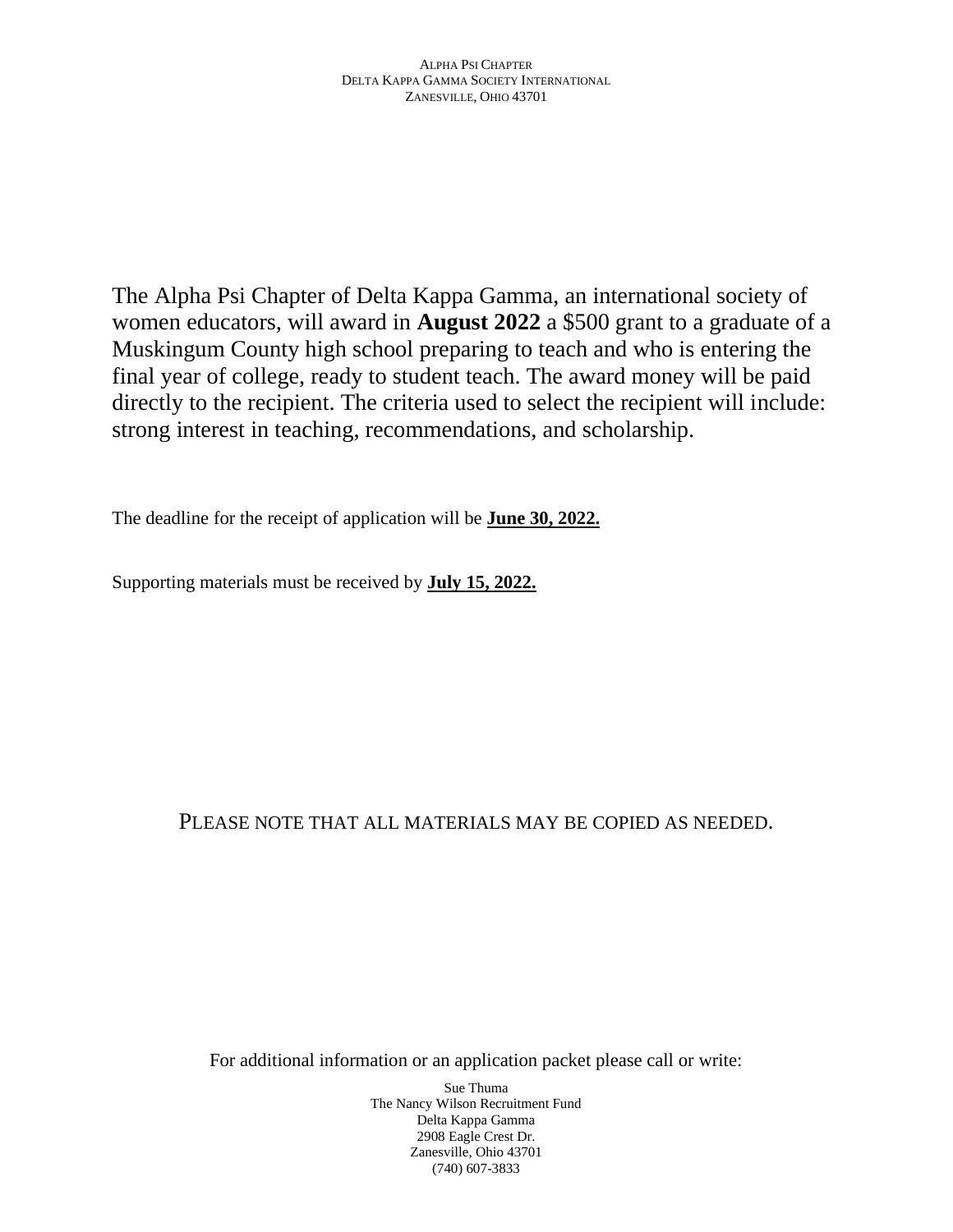The Alpha Psi Chapter of Delta Kappa Gamma, an international society of women educators, will award in **August 2022** a \$500 grant to a graduate of a Muskingum County high school preparing to teach and who is entering the final year of college, ready to student teach. The award money will be paid directly to the recipient. The criteria used to select the recipient will include: strong interest in teaching, recommendations, and scholarship.

The deadline for the receipt of application will be **June 30, 2022.**

Supporting materials must be received by **July 15, 2022.**

# PLEASE NOTE THAT ALL MATERIALS MAY BE COPIED AS NEEDED.

For additional information or an application packet please call or write: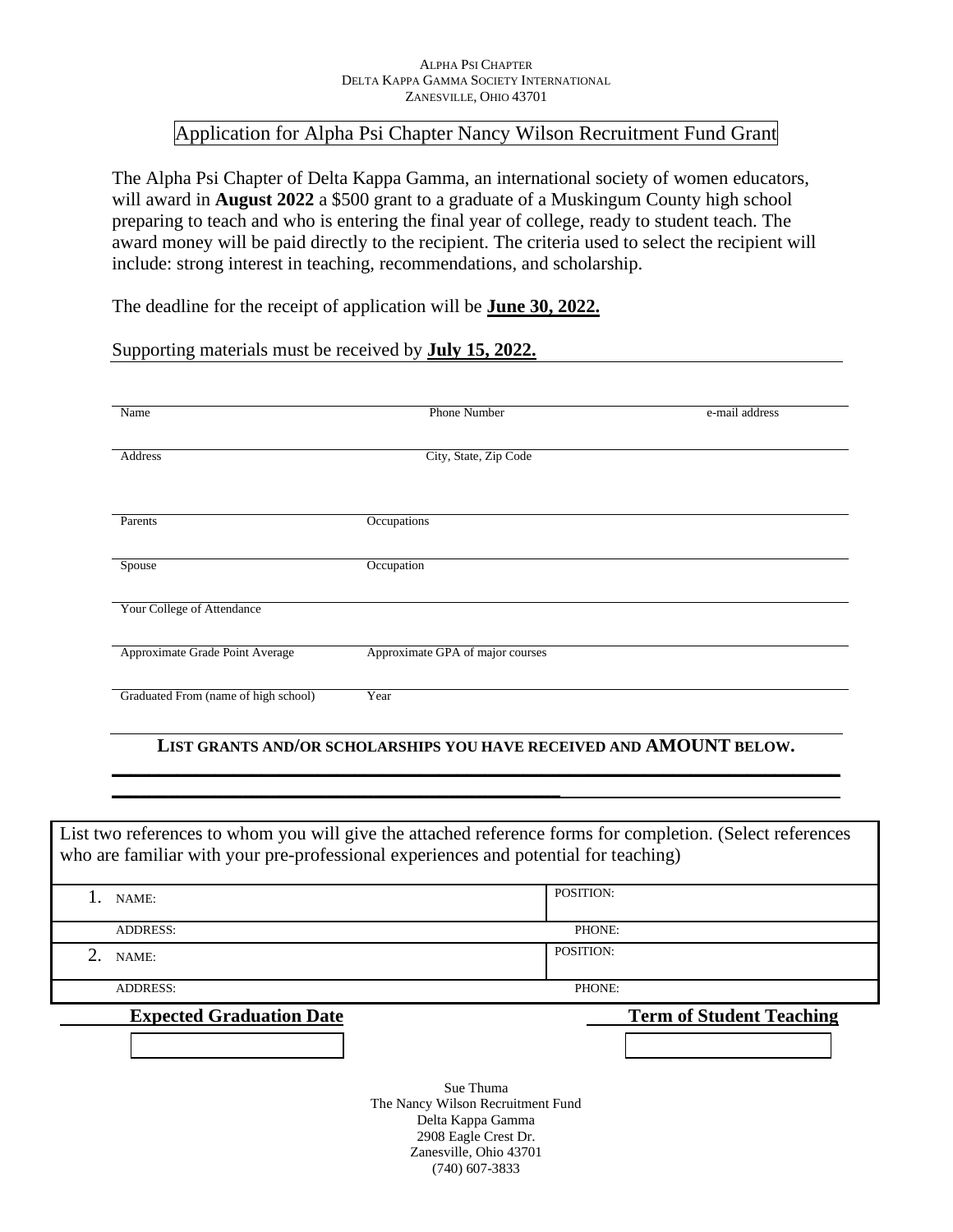#### ALPHA PSI CHAPTER DELTA KAPPA GAMMA SOCIETY INTERNATIONAL ZANESVILLE, OHIO 43701

## Application for Alpha Psi Chapter Nancy Wilson Recruitment Fund Grant

The Alpha Psi Chapter of Delta Kappa Gamma, an international society of women educators, will award in **August 2022** a \$500 grant to a graduate of a Muskingum County high school preparing to teach and who is entering the final year of college, ready to student teach. The award money will be paid directly to the recipient. The criteria used to select the recipient will include: strong interest in teaching, recommendations, and scholarship.

The deadline for the receipt of application will be **June 30, 2022.**

### Supporting materials must be received by **July 15, 2022.**

**\_\_\_\_\_\_\_\_\_\_\_\_\_\_\_\_\_\_\_\_\_\_\_\_\_\_\_\_\_\_\_\_\_\_\_\_\_\_\_\_\_\_\_\_\_\_\_\_**

| Name                                 | <b>Phone Number</b>              | e-mail address |
|--------------------------------------|----------------------------------|----------------|
| Address                              | City, State, Zip Code            |                |
| Parents                              | Occupations                      |                |
| Spouse                               | Occupation                       |                |
| Your College of Attendance           |                                  |                |
| Approximate Grade Point Average      | Approximate GPA of major courses |                |
| Graduated From (name of high school) | Year                             |                |

### **LIST GRANTS AND/OR SCHOLARSHIPS YOU HAVE RECEIVED AND AMOUNT BELOW. \_\_\_\_\_\_\_\_\_\_\_\_\_\_\_\_\_\_\_\_\_\_\_\_\_\_\_\_\_\_\_\_\_\_\_\_\_\_\_\_\_\_\_\_\_\_\_\_\_\_\_\_\_\_\_\_\_\_\_\_\_\_\_\_\_\_\_\_\_\_\_\_\_\_\_\_\_\_**

| List two references to whom you will give the attached reference forms for completion. (Select references<br>who are familiar with your pre-professional experiences and potential for teaching) |                                                                                             |  |  |
|--------------------------------------------------------------------------------------------------------------------------------------------------------------------------------------------------|---------------------------------------------------------------------------------------------|--|--|
| NAME:                                                                                                                                                                                            | POSITION:                                                                                   |  |  |
| <b>ADDRESS:</b>                                                                                                                                                                                  | PHONE:                                                                                      |  |  |
| 2.<br>NAME:                                                                                                                                                                                      | POSITION:                                                                                   |  |  |
| <b>ADDRESS:</b>                                                                                                                                                                                  | PHONE:                                                                                      |  |  |
| <b>Expected Graduation Date</b>                                                                                                                                                                  | <b>Term of Student Teaching</b>                                                             |  |  |
|                                                                                                                                                                                                  |                                                                                             |  |  |
|                                                                                                                                                                                                  | Sue Thuma<br>The Nancy Wilson Recruitment Fund<br>Delta Kappa Gamma<br>2908 Eagle Crest Dr. |  |  |

2908 Eagle Crest Dr. Zanesville, Ohio 43701 (740) 607-3833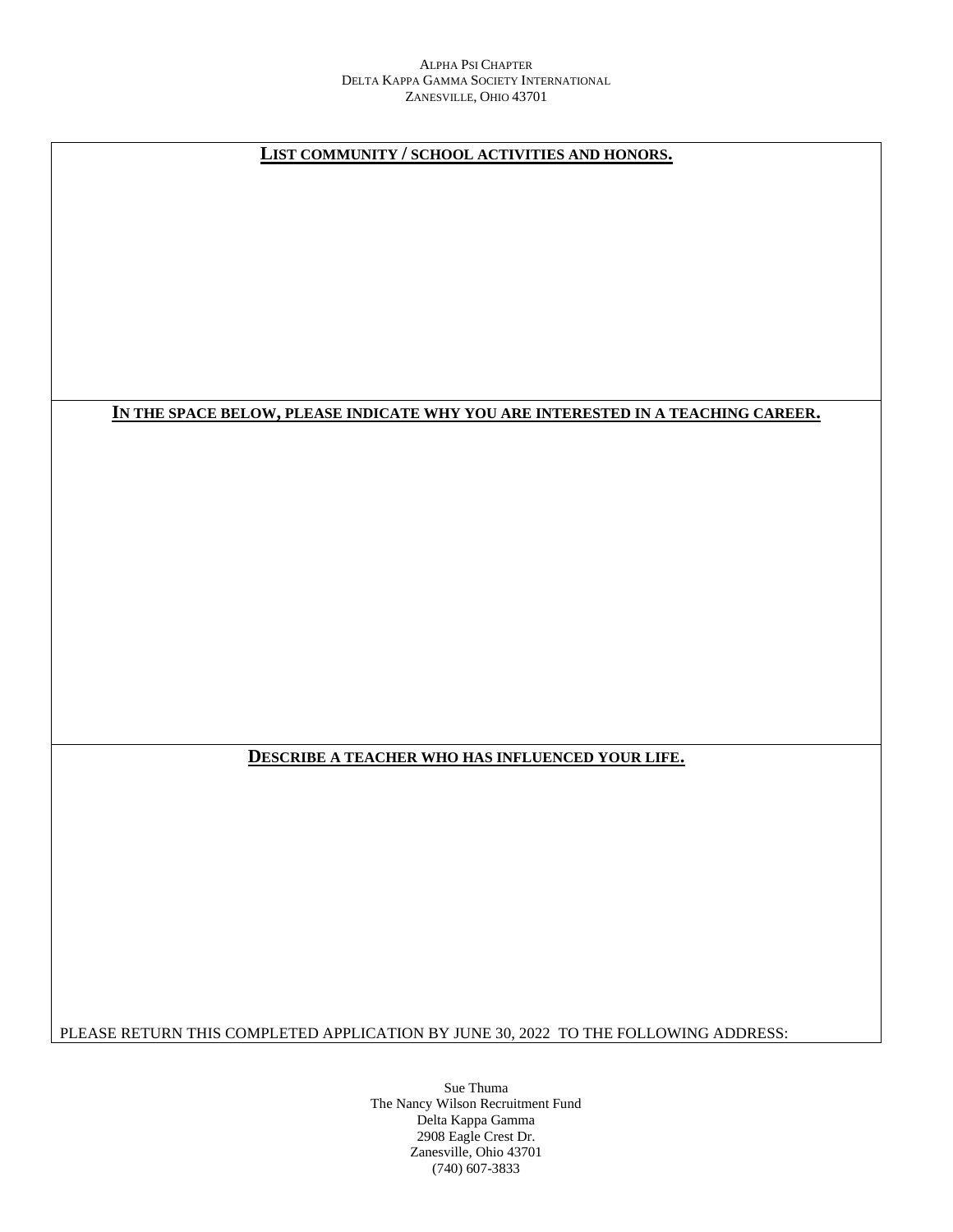#### ALPHA PSI CHAPTER DELTA KAPPA GAMMA SOCIETY INTERNATIONAL ZANESVILLE, OHIO 43701

**LIST COMMUNITY / SCHOOL ACTIVITIES AND HONORS.**

#### **IN THE SPACE BELOW, PLEASE INDICATE WHY YOU ARE INTERESTED IN A TEACHING CAREER.**

#### **DESCRIBE A TEACHER WHO HAS INFLUENCED YOUR LIFE.**

PLEASE RETURN THIS COMPLETED APPLICATION BY JUNE 30, 2022 TO THE FOLLOWING ADDRESS: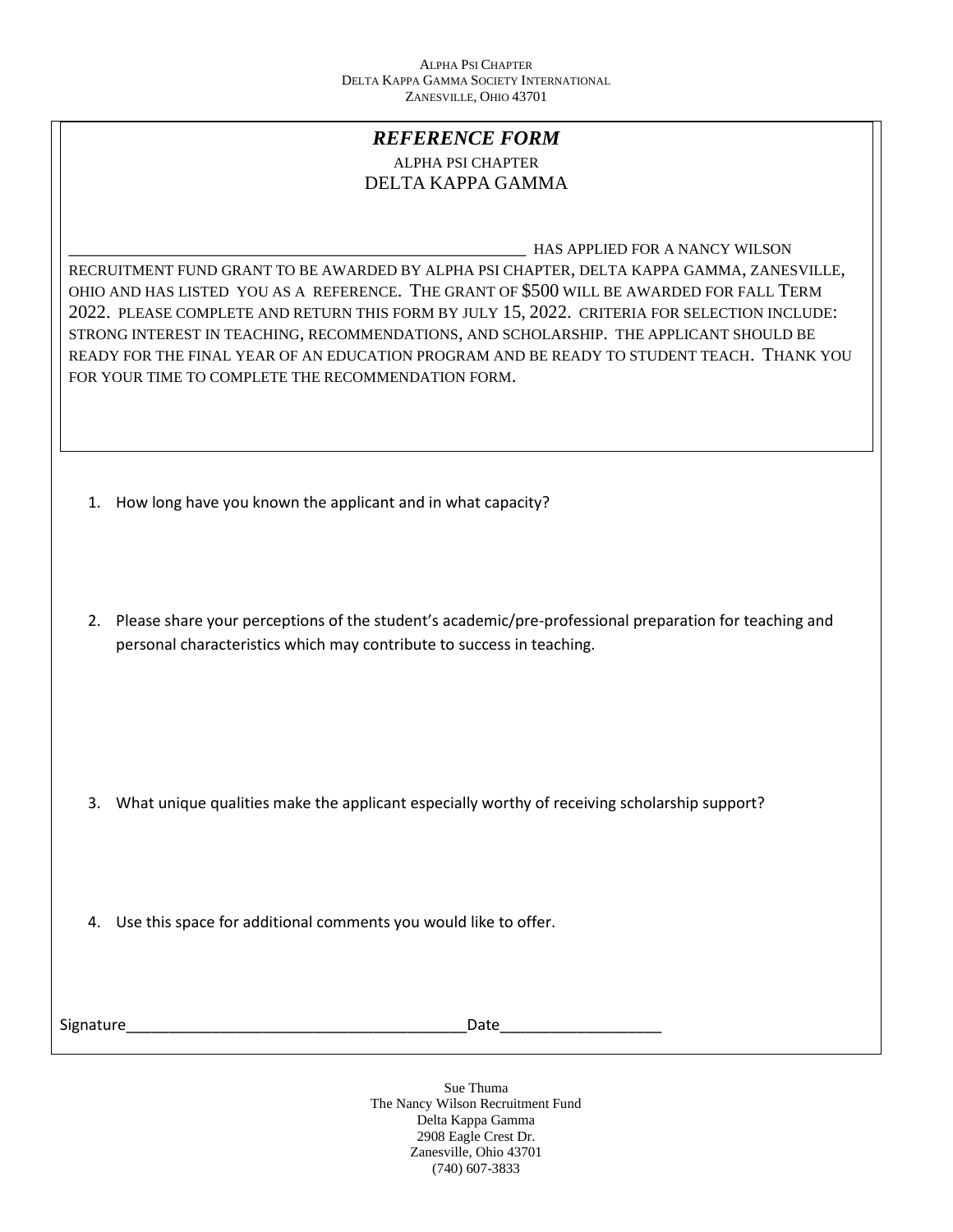### *REFERENCE FORM* ALPHA PSI CHAPTER DELTA KAPPA GAMMA

\_\_\_\_\_\_\_\_\_\_\_\_\_\_\_\_\_\_\_\_\_\_\_\_\_\_\_\_\_\_\_\_\_\_\_\_\_\_\_\_\_\_\_\_\_\_\_\_\_ HAS APPLIED FOR A NANCY WILSON RECRUITMENT FUND GRANT TO BE AWARDED BY ALPHA PSI CHAPTER, DELTA KAPPA GAMMA, ZANESVILLE, OHIO AND HAS LISTED YOU AS A REFERENCE. THE GRANT OF \$500 WILL BE AWARDED FOR FALL TERM 2022. PLEASE COMPLETE AND RETURN THIS FORM BY JULY 15, 2022. CRITERIA FOR SELECTION INCLUDE: STRONG INTEREST IN TEACHING, RECOMMENDATIONS, AND SCHOLARSHIP. THE APPLICANT SHOULD BE READY FOR THE FINAL YEAR OF AN EDUCATION PROGRAM AND BE READY TO STUDENT TEACH. THANK YOU FOR YOUR TIME TO COMPLETE THE RECOMMENDATION FORM.

- 1. How long have you known the applicant and in what capacity?
- 2. Please share your perceptions of the student's academic/pre-professional preparation for teaching and personal characteristics which may contribute to success in teaching.

- 3. What unique qualities make the applicant especially worthy of receiving scholarship support?
- 4. Use this space for additional comments you would like to offer.

Signature\_\_\_\_\_\_\_\_\_\_\_\_\_\_\_\_\_\_\_\_\_\_\_\_\_\_\_\_\_\_\_\_\_\_\_\_\_\_\_\_Date\_\_\_\_\_\_\_\_\_\_\_\_\_\_\_\_\_\_\_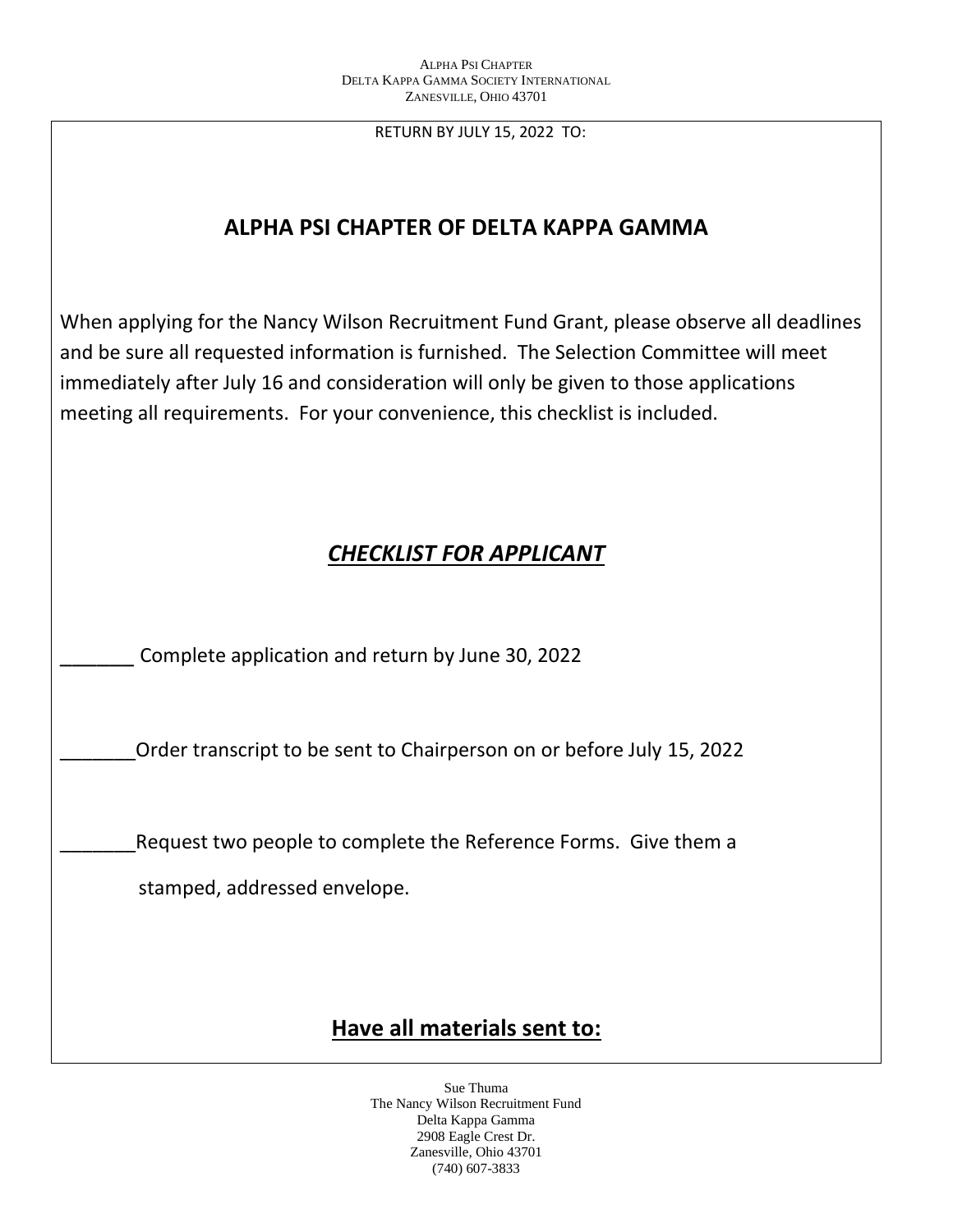RETURN BY JULY 15, 2022 TO:

# **ALPHA PSI CHAPTER OF DELTA KAPPA GAMMA**

When applying for the Nancy Wilson Recruitment Fund Grant, please observe all deadlines and be sure all requested information is furnished. The Selection Committee will meet immediately after July 16 and consideration will only be given to those applications meeting all requirements. For your convenience, this checklist is included.

# *CHECKLIST FOR APPLICANT*

\_\_\_\_\_\_ Complete application and return by June 30, 2022

\_\_\_\_\_\_\_Order transcript to be sent to Chairperson on or before July 15, 2022

Request two people to complete the Reference Forms. Give them a

stamped, addressed envelope.

# **Have all materials sent to:**